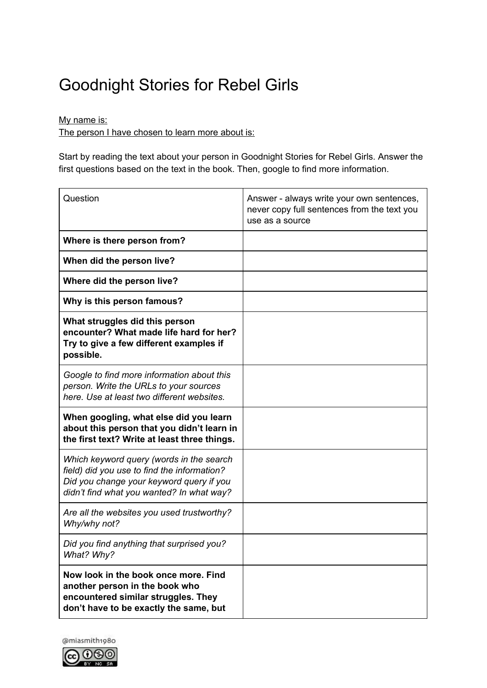## Goodnight Stories for Rebel Girls

My name is:

The person I have chosen to learn more about is:

Start by reading the text about your person in Goodnight Stories for Rebel Girls. Answer the first questions based on the text in the book. Then, google to find more information.

| Question                                                                                                                                                                         | Answer - always write your own sentences,<br>never copy full sentences from the text you<br>use as a source |
|----------------------------------------------------------------------------------------------------------------------------------------------------------------------------------|-------------------------------------------------------------------------------------------------------------|
| Where is there person from?                                                                                                                                                      |                                                                                                             |
| When did the person live?                                                                                                                                                        |                                                                                                             |
| Where did the person live?                                                                                                                                                       |                                                                                                             |
| Why is this person famous?                                                                                                                                                       |                                                                                                             |
| What struggles did this person<br>encounter? What made life hard for her?<br>Try to give a few different examples if<br>possible.                                                |                                                                                                             |
| Google to find more information about this<br>person. Write the URLs to your sources<br>here. Use at least two different websites.                                               |                                                                                                             |
| When googling, what else did you learn<br>about this person that you didn't learn in<br>the first text? Write at least three things.                                             |                                                                                                             |
| Which keyword query (words in the search<br>field) did you use to find the information?<br>Did you change your keyword query if you<br>didn't find what you wanted? In what way? |                                                                                                             |
| Are all the websites you used trustworthy?<br>Why/why not?                                                                                                                       |                                                                                                             |
| Did you find anything that surprised you?<br>What? Why?                                                                                                                          |                                                                                                             |
| Now look in the book once more. Find<br>another person in the book who<br>encountered similar struggles. They<br>don't have to be exactly the same, but                          |                                                                                                             |

@miasmith1980 **@** 000